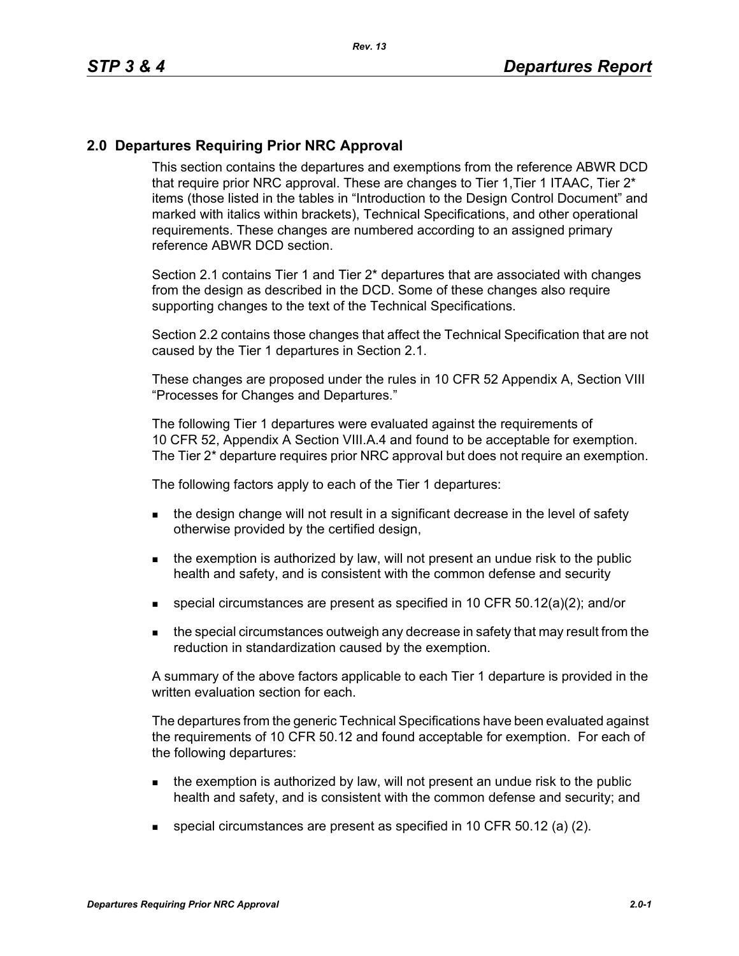## **2.0 Departures Requiring Prior NRC Approval**

This section contains the departures and exemptions from the reference ABWR DCD that require prior NRC approval. These are changes to Tier 1, Tier 1 ITAAC, Tier 2<sup>\*</sup> items (those listed in the tables in "Introduction to the Design Control Document" and marked with italics within brackets), Technical Specifications, and other operational requirements. These changes are numbered according to an assigned primary reference ABWR DCD section.

Section 2.1 contains Tier 1 and Tier 2\* departures that are associated with changes from the design as described in the DCD. Some of these changes also require supporting changes to the text of the Technical Specifications.

Section 2.2 contains those changes that affect the Technical Specification that are not caused by the Tier 1 departures in Section 2.1.

These changes are proposed under the rules in 10 CFR 52 Appendix A, Section VIII "Processes for Changes and Departures."

The following Tier 1 departures were evaluated against the requirements of 10 CFR 52, Appendix A Section VIII.A.4 and found to be acceptable for exemption. The Tier 2\* departure requires prior NRC approval but does not require an exemption.

The following factors apply to each of the Tier 1 departures:

- the design change will not result in a significant decrease in the level of safety otherwise provided by the certified design,
- $\blacksquare$  the exemption is authorized by law, will not present an undue risk to the public health and safety, and is consistent with the common defense and security
- special circumstances are present as specified in 10 CFR 50.12(a)(2); and/or
- **the special circumstances outweigh any decrease in safety that may result from the** reduction in standardization caused by the exemption.

A summary of the above factors applicable to each Tier 1 departure is provided in the written evaluation section for each.

The departures from the generic Technical Specifications have been evaluated against the requirements of 10 CFR 50.12 and found acceptable for exemption. For each of the following departures:

- $\blacksquare$  the exemption is authorized by law, will not present an undue risk to the public health and safety, and is consistent with the common defense and security; and
- special circumstances are present as specified in 10 CFR 50.12 (a) (2).